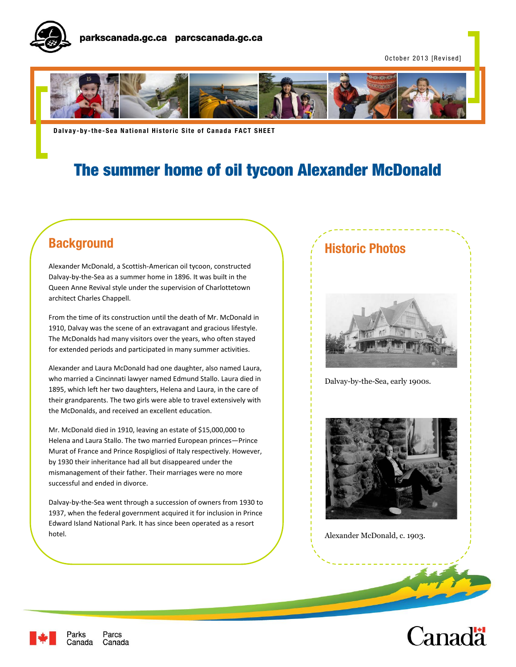

October 2013 [Revised]



**Dalvay-by-the-Sea National Historic Site of Canada FACT SHEET** 

# The summer home of oil tycoon Alexander McDonald

## **Background**

Alexander McDonald, a Scottish-American oil tycoon, constructed Dalvay-by-the-Sea as a summer home in 1896. It was built in the Queen Anne Revival style under the supervision of Charlottetown architect Charles Chappell.

From the time of its construction until the death of Mr. McDonald in 1910, Dalvay was the scene of an extravagant and gracious lifestyle. The McDonalds had many visitors over the years, who often stayed for extended periods and participated in many summer activities.

Alexander and Laura McDonald had one daughter, also named Laura, who married a Cincinnati lawyer named Edmund Stallo. Laura died in 1895, which left her two daughters, Helena and Laura, in the care of their grandparents. The two girls were able to travel extensively with the McDonalds, and received an excellent education.

Mr. McDonald died in 1910, leaving an estate of \$15,000,000 to Helena and Laura Stallo. The two married European princes—Prince Murat of France and Prince Rospigliosi of Italy respectively. However, by 1930 their inheritance had all but disappeared under the mismanagement of their father. Their marriages were no more successful and ended in divorce.

Dalvay-by-the-Sea went through a succession of owners from 1930 to 1937, when the federal government acquired it for inclusion in Prince Edward Island National Park. It has since been operated as a resort hotel.

### **Historic Photos**



Dalvay-by-the-Sea, early 1900s.



Alexander McDonald, c. 1903.